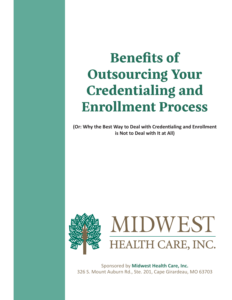# **Benefits of Outsourcing Your Credentialing and Enrollment Process**

**(Or: Why the Best Way to Deal with Credentialing and Enrollment is Not to Deal with It at All)**



Sponsored by **Midwest Health Care, Inc.** 326 S. Mount Auburn Rd., Ste. 201, Cape Girardeau, MO 63703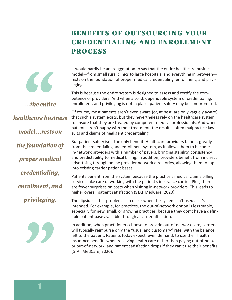## **BENEFITS OF OUTSOURCING YOUR CREDENTIALI NG AND ENROLLM ENT PROCESS**



*...the entire* 

model—from small rural clinics to large hospitals, and everything in between rests on the foundation of proper medical credentialing, enrollment, and privileging.

It would hardly be an exaggeration to say that the entire healthcare business

This is because the entire system is designed to assess and certify the competency of providers. And when a solid, dependable system of credentialing, enrollment, and privileging is not in place, patient safety may be compromised.

Of course, most patients aren't even aware (or, at best, are only vaguely aware) that such a system exists, but they nevertheless rely on the healthcare system to ensure that they are treated by competent medical professionals. And when patients aren't happy with their treatment, the result is often malpractice lawsuits and claims of negligent credentialing.

But patient safety isn't the only benefit. Healthcare providers benefit greatly from the credentialing and enrollment system, as it allows them to become in-network providers with a number of payers, bringing stability, consistency, and predictability to medical billing. In addition, providers benefit from indirect advertising through online provider network directories, allowing them to tap into existing carrier patient bases.

Patients benefit from the system because the practice's medical claims billing services take care of working with the patient's insurance carrier. Plus, there are fewer surprises on costs when visiting in-network providers. This leads to higher overall patient satisfaction (STAT MedCare, 2020).

The flipside is that problems can occur when the system isn't used as it's intended. For example, for practices, the out-of-network option is less stable, especially for new, small, or growing practices, because they don't have a definable patient base available through a carrier affiliation.

In addition, when practitioners choose to provide out-of-network care, carriers will typically reimburse only the "usual and customary" rate, with the balance left to the patient. Patients today expect, even demand, to use their health insurance benefits when receiving health care rather than paying out-of-pocket or out-of-network, and patient satisfaction drops if they can't use their benefits (STAT MedCare, 2020).

*healthcare business model...rests on the foundation of proper medical credentialing, enrollment, and privileging.*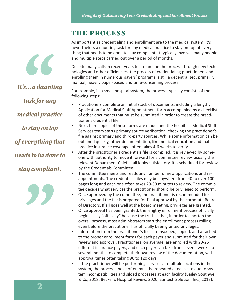#### **THE PROCESS**

As important as credentialing and enrollment are to the medical system, it's nevertheless a daunting task for any medical practice to stay on top of everything that needs to be done to stay compliant. It typically involves many people and multiple steps carried out over a period of months.

Despite many calls in recent years to streamline the process through new technologies and other efficiencies, the process of credentialing practitioners and enrolling them in numerous payers' programs is still a decentralized, primarily manual, heavily paper-based and time-consuming process.

For example, in a small hospital system, the process typically consists of the following steps:

- Practitioners complete an initial stack of documents, including a lengthy Application for Medical Staff Appointment form accompanied by a checklist of other documents that must be submitted in order to create the practitioner's credential file.
- Next, hard copies of these forms are made, and the hospital's Medical Staff Services team starts primary source verification, checking the practitioner's file against primary and third-party sources. While some information can be obtained quickly, other documentation, like medical education and malpractice insurance coverage, often takes 4-6 weeks to verify.
- After the practitioner's credentials file is compiled, it is reviewed by someone with authority to move it forward for a committee review, usually the relevant Department Chief. If all looks satisfactory, it is scheduled for review by the Credentials Committee.
- The committee meets and reads any number of new applications and reappointments. The credentials files may be anywhere from 40 to over 100 pages long and each one often takes 20-30 minutes to review. The committee decides what services the practitioner should be privileged to perform.
- Once approved by the committee, the practitioner is recommended for privileges and the file is prepared for final approval by the corporate Board of Directors. If all goes well at the board meeting, privileges are granted.
- Once approval has been granted, the lengthy enrollment process officially begins. I say "officially" because the truth is that, in order to shorten the overall process, most administrators start the enrollment process rolling even before the practitioner has officially been granted privileges.
- Information from the practitioner's file is transcribed, copied, and attached to the proper enrollment forms for each payer and submitted for their own review and approval. Practitioners, on average, are enrolled with 20-25 different insurance payers, and each payer can take from several weeks to several months to complete their own review of the documentation, with approval times often taking 90 to 120 days.
- If the practitioner will be performing services at multiple locations in the system, the process above often must be repeated at each site due to system incompatibilities and siloed processes at each facility (Bailey Southwell & Co, 2018; Becker's Hospital Review, 2020; Santech Solution, Inc., 2013).

*It's...a daunting task for any medical practice to stay on top of everything that needs to be done to stay compliant.*

 $\epsilon$ 

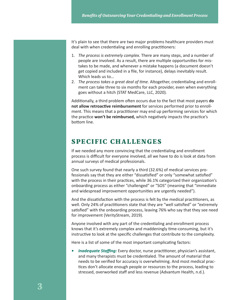It's plain to see that there are two major problems healthcare providers must deal with when credentialing and enrolling practitioners:

- 1. *The process is extremely complex.* There are many steps, and a number of people are involved. As a result, there are multiple opportunities for mistakes to be made, and whenever a mistake happens (a document doesn't get copied and included in a file, for instance), delays inevitably result. Which leads us to…
- 2. *The process takes a great deal of time.* Altogether, credentialing and enrollment can take three to six months for each provider, even when everything goes without a hitch (STAT MedCare, LLC, 2020).

Additionally, a third problem often occurs due to the fact that most payers **do not allow retroactive reimbursement** for services performed prior to enrollment. This means that a practitioner may end up performing services for which the practice **won't be reimbursed,** which negatively impacts the practice's bottom line.

#### **SPECIFIC CHALLENGES**

If we needed any more convincing that the credentialing and enrollment process is difficult for everyone involved, all we have to do is look at data from annual surveys of medical professionals.

One such survey found that nearly a third (32.6%) of medical services professionals say that they are either "dissatisfied" or only "somewhat satisfied" with the process in their practices, while 36.1% categorized their organization's onboarding process as either "challenged" or "SOS" (meaning that "immediate and widespread improvement opportunities are urgently needed").

And the dissatisfaction with the process is felt by the medical practitioners, as well. Only 24% of practitioners state that they are "well satisfied" or "extremely satisfied" with the onboarding process, leaving 76% who say that they see need for improvement (VerityStream, 2019).

Anyone involved with any part of the credentialing and enrollment process knows that it's extremely complex and maddeningly time-consuming, but it's instructive to look at the specific challenges that contribute to the complexity.

Here is a list of some of the most important complicating factors:

*Inadequate Staffing:* Every doctor, nurse practitioner, physician's assistant, and many therapists must be credentialed. The amount of material that needs to be verified for accuracy is overwhelming. And most medical practices don't allocate enough people or resources to the process, leading to stressed, overworked staff and less revenue (Advantum Health, n.d.).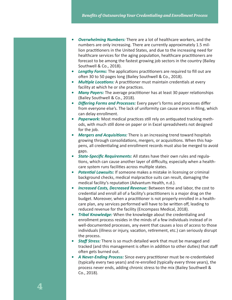- **Overwhelming Numbers:** There are a lot of healthcare workers, and the numbers are only increasing. There are currently approximately 1.5 million practitioners in the United States, and due to the increasing need for healthcare services for the aging population, healthcare practitioners are forecast to be among the fastest growing job sectors in the country (Bailey Southwell & Co., 2018).
- *• Lengthy Forms:* The applications practitioners are required to fill out are often 30 to 50 pages long (Bailey Southwell & Co., 2018).
- *• Multiple Locations:* A practitioner must maintain credentials at every facility at which he or she practices.
- *• Many Payers:* The average practitioner has at least 30 payer relationships (Bailey Southwell & Co., 2018).
- *• Differing Forms and Processes:* Every payer's forms and processes differ from everyone else's. The lack of uniformity can cause errors in filing, which can delay enrollment.
- *• Paperwork:* Most medical practices still rely on antiquated tracking methods, with much still done on paper or in Excel spreadsheets not designed for the job.
- *• Mergers and Acquisitions:* There is an increasing trend toward hospitals growing through consolidations, mergers, or acquisitions. When this happens, all credentialing and enrollment records must also be merged to avoid gaps.
- *• State-Specific Requirements:* All states have their own rules and regulations, which can cause another layer of difficulty, especially when a healthcare system runs facilities across multiple states.
- *• Potential Lawsuits:* If someone makes a mistake in licensing or criminal background checks, medical malpractice suits can result, damaging the medical facility's reputation (Advantum Health, n.d.).
- *• Increased Costs, Decreased Revenue:* Between time and labor, the cost to credential and enroll all of a facility's practitioners is a major drag on the budget. Moreover, when a practitioner is not properly enrolled in a healthcare plan, any services performed will have to be written off, leading to reduced revenue for the facility (Encompass Medical, 2018).
- *• Tribal Knowledge:* When the knowledge about the credentialing and enrollment process resides in the minds of a few individuals instead of in well-documented processes, any event that causes a loss of access to those individuals (illness or injury, vacation, retirement, etc.) can seriously disrupt the process.
- *• Staff Stress:* There is so much detailed work that must be managed and tracked (and this management is often in addition to other duties) that staff often gets burned out.
- *• A Never-Ending Process:* Since every practitioner must be re-credentialed (typically every two years) and re-enrolled (typically every three years), the process never ends, adding chronic stress to the mix (Bailey Southwell & Co., 2018).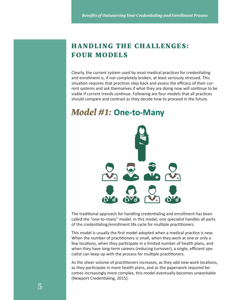#### **HANDLING THE CHALLENGES: FOUR MODELS**

Clearly, the current system used by most medical practices for credentialing and enrollment is, if not completely broken, at least seriously stressed. This situation requires that practices step back and assess the efficacy of their current systems and ask themselves if what they are doing now will continue to be viable if current trends continue. Following are four models that all practices should compare and contrast as they decide how to proceed in the future.

# *Model #1:* **One-to-Many**



The traditional approach for handling credentialing and enrollment has been called the "one-to-many" model. In this model, one specialist handles all parts of the credentialing/enrollment life cycle for multiple practitioners.

This model is usually the first model adopted when a medical practice is new. When the number of practitioners is small, when they work at one or only a few locations, when they participate in a limited number of health plans, and when they have long-term careers (reducing turnover), a single, efficient specialist can keep up with the process for multiple practitioners.

As the sheer volume of practitioners increases, as they add new work locations, as they participate in more health plans, and as the paperwork required becomes increasingly more complex, this model eventually becomes unworkable (Newport Credentialing, 2015).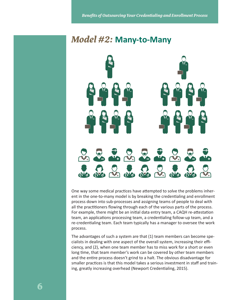# *Model #2:* **Many-to-Many**



One way some medical practices have attempted to solve the problems inherent in the one-to-many model is by breaking the credentialing and enrollment process down into sub-processes and assigning teams of people to deal with all the practitioners flowing through each of the various parts of the process. For example, there might be an initial data entry team, a CAQH re-attestation team, an applications processing team, a credentialing follow-up team, and a re-credentialing team. Each team typically has a manager to oversee the work process.

The advantages of such a system are that (1) team members can become specialists in dealing with one aspect of the overall system, increasing their efficiency, and (2), when one team member has to miss work for a short or even long time, that team member's work can be covered by other team members and the entire process doesn't grind to a halt. The obvious disadvantage for smaller practices is that this model takes a serious investment in staff and training, greatly increasing overhead (Newport Credentialing, 2015).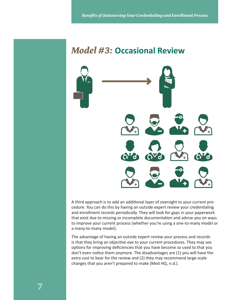# *Model #3:* **Occasional Review**



A third approach is to add an additional layer of oversight to your current procedure. You can do this by having an outside expert review your credentialing and enrollment records periodically. They will look for gaps in your paperwork that exist due to missing or incomplete documentation and advise you on ways to improve your current process (whether you're using a one-to-many model or a many-to-many model).

The advantage of having an outside expert review your process and records is that they bring an objective eye to your current procedures. They may see options for improving deficiencies that you have become so used to that you don't even notice them anymore. The disadvantages are (1) you will have the extra cost to bear for the review and (2) they may recommend large-scale changes that you aren't prepared to make (Med HQ, n.d.).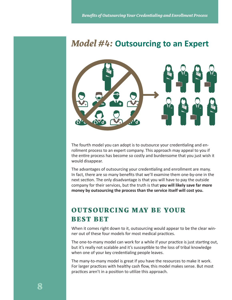# *Model #4:* **Outsourcing to an Expert**



The fourth model you can adopt is to outsource your credentialing and enrollment process to an expert company. This approach may appeal to you if the entire process has become so costly and burdensome that you just wish it would disappear.

The advantages of outsourcing your credentialing and enrollment are many. In fact, there are so many benefits that we'll examine them one-by-one in the next section. The only disadvantage is that you will have to pay the outside company for their services, but the truth is that **you will likely save far more money by outsourcing the process than the service itself will cost you.**

### **OUTSOURCING MAY BE YOUR BEST BET**

When it comes right down to it, outsourcing would appear to be the clear winner out of these four models for most medical practices.

The one-to-many model can work for a while if your practice is just starting out, but it's really not scalable and it's susceptible to the loss of tribal knowledge when one of your key credentialing people leaves.

The many-to-many model is great if you have the resources to make it work. For larger practices with healthy cash flow, this model makes sense. But most practices aren't in a position to utilize this approach.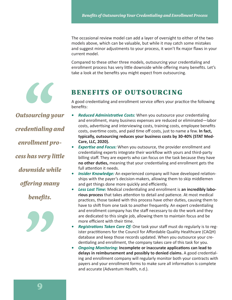The occasional review model can add a layer of oversight to either of the two models above, which can be valuable, but while it may catch some mistakes and suggest minor adjustments to your process, it won't fix major flaws in your current model.

Compared to these other three models, outsourcing your credentialing and enrollment process has very little downside while offering many benefits. Let's take a look at the benefits you might expect from outsourcing.



#### **BENEFITS OF OUTSOURCING**

A good credentialing and enrollment service offers your practice the following benefits:

*Outsourcing your credentialing and enrollment process has very little downside while offering many benefits.*



- **Reduced Administrative Costs:** When you outsource your credentialing and enrollment, many business expenses are reduced or eliminated—labor costs, advertising and interviewing costs, training costs, employee benefits costs, overtime costs, and paid time off costs, just to name a few. **In fact, typically, outsourcing reduces your business costs by 30-40% (STAT Med-Care, LLC, 2020).**
- *• Expertise and Focus:* When you outsource, the provider enrollment and credentialing experts integrate their workflow with yours and third-party billing staff. They are experts who can focus on the task because they have **no other duties,** meaning that your credentialing and enrollment gets the full attention it needs.
- *• Insider Knowledge:* An experienced company will have developed relationships with the payer's decision-makers, allowing them to skip middlemen and get things done more quickly and efficiently.
- *Less Lost Time:* **Medical credentialing and enrollment is an incredibly laborious process** that takes attention to detail and patience. At most medical practices, those tasked with this process have other duties, causing them to have to shift from one task to another frequently. An expert credentialing and enrollment company has the staff necessary to do the work and they are dedicated to this single job, allowing them to maintain focus and be more efficient with their time.
- *Registrations Taken Care Of:* One task your staff must do regularly is to register practitioners for the Council for Affordable Quality Healthcare (CAQH) database and keep those records updated. When you outsource your credentialing and enrollment, the company takes care of this task for you.
- *• Ongoing Monitoring:* **Incomplete or inaccurate applications can lead to delays in reimbursement and possibly to denied claims.** A good credentialing and enrollment company will regularly monitor both your contracts with payers and your enrollment forms to make sure all information is complete and accurate (Advantum Health, n.d.).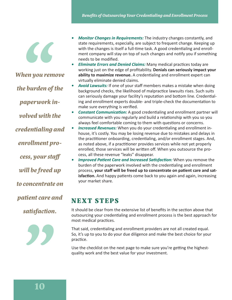$\overline{\mathcal{L}}$ 

*When you remove the burden of the paperwork involved with the* 

*credentialing and* 

*enrollment pro-*

*cess, your staff* 

*will be freed up* 

*to concentrate on* 

*patient care and* 

*satisfaction.*



- *Monitor Changes in Requirements:* The industry changes constantly, and state requirements, especially, are subject to frequent change. Keeping up with the changes is itself a full-time task. A good credentialing and enrollment company will stay on top of such changes and notify you if something needs to be modified.
- *Eliminate Errors and Denied Claims: Many medical practices today are* working just on the edge of profitability. **Denials can seriously impact your ability to maximize revenue.** A credentialing and enrollment expert can virtually eliminate denied claims.
- **Avoid Lawsuits:** If one of your staff members makes a mistake when doing background checks, the likelihood of malpractice lawsuits rises. Such suits can seriously damage your facility's reputation and bottom line. Credentialing and enrollment experts double- and triple-check the documentation to make sure everything is verified.
- *• Constant Communication:* A good credentialing and enrollment partner will communicate with you regularly and build a relationship with you so you always feel comfortable coming to them with questions or concerns.
- **Increased Revenues:** When you do your credentialing and enrollment inhouse, it's costly. You may be losing revenue due to mistakes and delays in the practitioner onboarding, credentialing, and/or enrollment stages. And, as noted above, if a practitioner provides services while not yet properly enrolled, those services will be written off. When you outsource the process, all these revenue "leaks" disappear.
- *Improved Patient Care and Increased Satisfaction:* **When you remove the** burden of the paperwork involved with the credentialing and enrollment process, **your staff will be freed up to concentrate on patient care and satisfaction.** And happy patients come back to you again and again, increasing your market share.

# **NEXT STEPS**

It should be clear from the extensive list of benefits in the section above that outsourcing your credentialing and enrollment process is the best approach for most medical practices.

That said, credentialing and enrollment providers are not all created equal. So, it's up to you to do your due diligence and make the best choice for your practice.

Use the checklist on the next page to make sure you're getting the highestquality work and the best value for your investment.

**10**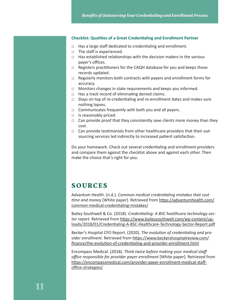#### **Checklist: Qualities of a Great Credentialing and Enrollment Partner**

- □ Has a large staff dedicated to credentialing and enrollment.
- □ The staff is experienced.
- $\Box$  Has established relationships with the decision makers in the various payer's offices.
- □ Registers practitioners for the CAQH database for you and keeps those records updated.
- □ Regularly monitors both contracts with payers and enrollment forms for accuracy.
- □ Monitors changes in state requirements and keeps you informed.
- $\Box$  Has a track record of eliminating denied claims.
- □ Stays on top of re-credentialing and re-enrollment dates and makes sure nothing lapses.
- $\Box$  Communicates frequently with both you and all payers.
- □ Is reasonably priced.
- $\Box$  Can provide proof that they consistently save clients more money than they cost.
- □ Can provide testimonials from other healthcare providers that their outsourcing services led indirectly to increased patient satisfaction.

Do your homework. Check out several credentialing and enrollment providers and compare them against the checklist above and against each other. Then make the choice that's right for you.

#### **SOURCES**

Advantum Health. (n.d.). *Common medical credentialing mistakes that cost time and money* [White paper]. Retrieved from https://advantumhealth.com/ common-medical-credentialing-mistakes/

Bailey Southwell & Co. (2018). *Credentialing: A BSC healthcare technology sector report.* Retrieved from https://www.baileysouthwell.com/wp-content/uploads/2018/01/Credentialing-A-BSC-Healthcare-Technology-Sector-Report.pdf

Becker's Hospital CFO Report. (2020). *The evolution of credentialing and provider enrollment.* Retrieved from https://www.beckershospitalreview.com/ finance/the-evolution-of-credentialing-and-provider-enrollment.html

Encompass Medical. (2018). *Think twice before making your medical staff office responsible for provider payer enrollment* [White paper]. Retrieved from https://encompassmedical.com/provider-payer-enrollment-medical-staffoffice-strategies/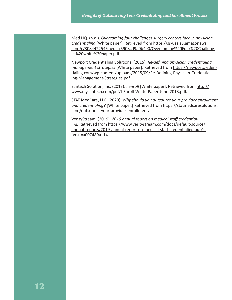Med HQ. (n.d.). *Overcoming four challenges surgery centers face in physician credentialing* [White paper]. Retrieved from https://ss-usa.s3.amazonaws. com/c/308442254/media/5908cd9a0b4e0/Overcoming%20Four%20Challenges%20white%20paper.pdf

Newport Credentialing Solutions. (2015). *Re-defining physician credentialing management strategies* [White paper]. Retrieved from https://newportcredentialing.com/wp-content/uploads/2015/09/Re-Defining-Physician-Credentialing-Management-Strategies.pdf

Santech Solution, Inc. (2013). *I enroll* [White paper]. Retrieved from http:// www.mysantech.com/pdf/I-Enroll-White-Paper-June-2013.pdf.

STAT MedCare, LLC. (2020). *Why should you outsource your provider enrollment*  and credentialing? [White paper.] Retrieved from https://statmedcaresolutions. com/outsource-your-provider-enrollment/

VerityStream. (2019). *2019 annual report on medical staff credential*ing. Retrieved from https://www.veritystream.com/docs/default-source/ annual-reports/2019-annual-report-on-medical-staff-credentialing.pdf?sfvrsn=a007489a\_14